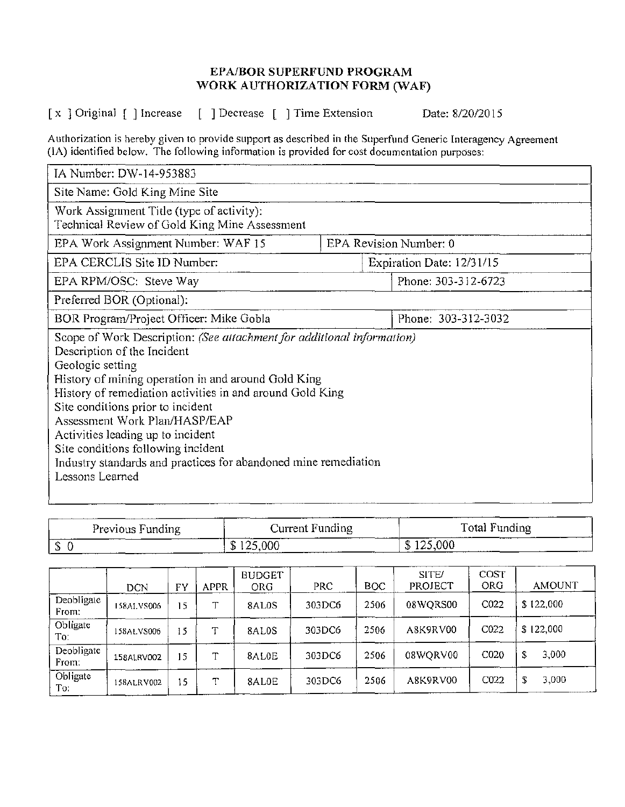## EPA/BOR SUPERFUND PROGRAM WORK AUTHORIZATION FORM (WAF)

[x ] Original [ ] Increase [ ] Decrease [ ] Time Extension Date: 8/20/2015

Authorization is hereby given to provide support as described in the Superfund Generic Interagency Agreement (IA) identified below. The following information is provided for cost documentation purposes:

| IA Number: DW-14-953883                                                                                                                                                                                                                                                                                                                                                                                                                                                              |                           |  |  |  |  |  |  |  |
|--------------------------------------------------------------------------------------------------------------------------------------------------------------------------------------------------------------------------------------------------------------------------------------------------------------------------------------------------------------------------------------------------------------------------------------------------------------------------------------|---------------------------|--|--|--|--|--|--|--|
| Site Name: Gold King Mine Site                                                                                                                                                                                                                                                                                                                                                                                                                                                       |                           |  |  |  |  |  |  |  |
| Work Assignment Title (type of activity):<br>Technical Review of Gold King Mine Assessment                                                                                                                                                                                                                                                                                                                                                                                           |                           |  |  |  |  |  |  |  |
| EPA Work Assignment Number: WAF 15                                                                                                                                                                                                                                                                                                                                                                                                                                                   | EPA Revision Number: 0    |  |  |  |  |  |  |  |
| EPA CERCLIS Site ID Number:                                                                                                                                                                                                                                                                                                                                                                                                                                                          | Expiration Date: 12/31/15 |  |  |  |  |  |  |  |
| EPA RPM/OSC: Steve Way                                                                                                                                                                                                                                                                                                                                                                                                                                                               | Phone: 303-312-6723       |  |  |  |  |  |  |  |
| Preferred BOR (Optional):                                                                                                                                                                                                                                                                                                                                                                                                                                                            |                           |  |  |  |  |  |  |  |
| BOR Program/Project Officer: Mike Gobla                                                                                                                                                                                                                                                                                                                                                                                                                                              | Phone: 303-312-3032       |  |  |  |  |  |  |  |
| Scope of Work Description: (See attachment for additional information)<br>Description of the Incident<br>Geologic setting<br>History of mining operation in and around Gold King<br>History of remediation activities in and around Gold King<br>Site conditions prior to incident<br>Assessment Work Plan/HASP/EAP<br>Activities leading up to incident<br>Site conditions following incident<br>Industry standards and practices for abandoned mine remediation<br>Lessons Learned |                           |  |  |  |  |  |  |  |

| Previous Funding | Current Funding | Total Funding |  |  |
|------------------|-----------------|---------------|--|--|
| - D              | \$125,000       | \$125,000     |  |  |

|                     | DCN        | FY | APPR | <b>BUDGET</b><br>ORG | <b>PRC</b> | BOC  | SITE/<br>PROJECT | COST<br>ORG      | <b>AMOUNT</b> |
|---------------------|------------|----|------|----------------------|------------|------|------------------|------------------|---------------|
| Deobligate<br>From: | 158ALVS006 | 15 | ᠇᠇   | 8AL0S                | 303DC6     | 2506 | 08WQRS00         | C <sub>022</sub> | \$122,000     |
| Obligate<br>To:     | 158ALVS006 | 15 | ᠇᠇   | 8AL0S                | 303DC6     | 2506 | A8K9RV00         | C022             | \$122,000     |
| Deobligate<br>From: | 158ALRV002 | 15 | ᠇᠇   | 8AL0E                | 303DC6     | 2506 | 08WQRV00         | CO <sub>20</sub> | 3,000<br>S    |
| Obligate<br>To:     | 158ALRV002 | 15 | ጥ    | 8AL0E                | 303DC6     | 2506 | A8K9RV00         | C022             | 3,000         |